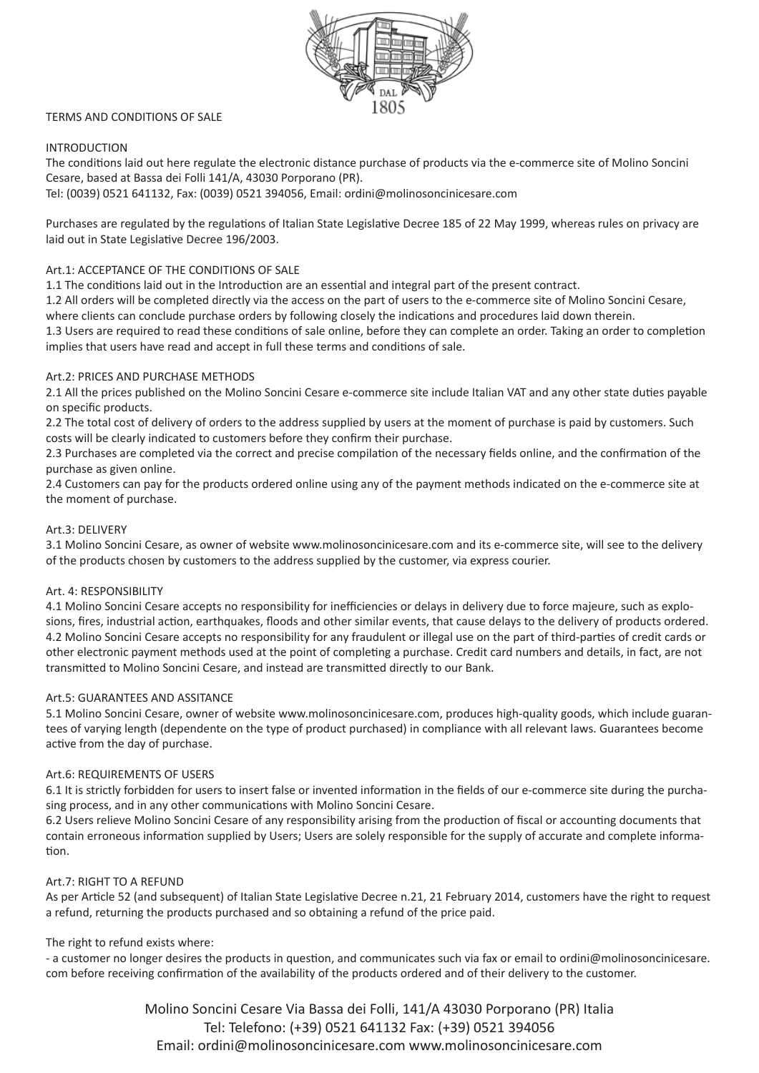

## TERMS AND CONDITIONS OF SALE

# INTRODUCTION

The conditions laid out here regulate the electronic distance purchase of products via the e-commerce site of Molino Soncini Cesare, based at Bassa dei Folli 141/A, 43030 Porporano (PR).

Tel: (0039) 0521 641132, Fax: (0039) 0521 394056, Email: ordini@molinosoncinicesare.com

Purchases are regulated by the regulations of Italian State Legislative Decree 185 of 22 May 1999, whereas rules on privacy are laid out in State Legislative Decree 196/2003.

## Art.1: ACCEPTANCE OF THE CONDITIONS OF SALE

1.1 The conditions laid out in the Introduction are an essential and integral part of the present contract.

1.2 All orders will be completed directly via the access on the part of users to the e-commerce site of Molino Soncini Cesare, where clients can conclude purchase orders by following closely the indications and procedures laid down therein.

1.3 Users are required to read these conditions of sale online, before they can complete an order. Taking an order to completion implies that users have read and accept in full these terms and conditions of sale.

## Art.2: PRICES AND PURCHASE METHODS

2.1 All the prices published on the Molino Soncini Cesare e-commerce site include Italian VAT and any other state duties payable on specific products.

2.2 The total cost of delivery of orders to the address supplied by users at the moment of purchase is paid by customers. Such costs will be clearly indicated to customers before they confirm their purchase.

2.3 Purchases are completed via the correct and precise compilation of the necessary fields online, and the confirmation of the purchase as given online.

2.4 Customers can pay for the products ordered online using any of the payment methods indicated on the e-commerce site at the moment of purchase.

#### Art.3: DELIVERY

3.1 Molino Soncini Cesare, as owner of website www.molinosoncinicesare.com and its e-commerce site, will see to the delivery of the products chosen by customers to the address supplied by the customer, via express courier.

## Art. 4: RESPONSIBILITY

4.1 Molino Soncini Cesare accepts no responsibility for inefficiencies or delays in delivery due to force majeure, such as explosions, fires, industrial action, earthquakes, floods and other similar events, that cause delays to the delivery of products ordered. 4.2 Molino Soncini Cesare accepts no responsibility for any fraudulent or illegal use on the part of third-parties of credit cards or other electronic payment methods used at the point of completing a purchase. Credit card numbers and details, in fact, are not transmitted to Molino Soncini Cesare, and instead are transmitted directly to our Bank.

## Art.5: GUARANTEES AND ASSITANCE

5.1 Molino Soncini Cesare, owner of website www.molinosoncinicesare.com, produces high-quality goods, which include guarantees of varying length (dependente on the type of product purchased) in compliance with all relevant laws. Guarantees become active from the day of purchase.

## Art.6: REQUIREMENTS OF USERS

6.1 It is strictly forbidden for users to insert false or invented information in the fields of our e-commerce site during the purchasing process, and in any other communications with Molino Soncini Cesare.

6.2 Users relieve Molino Soncini Cesare of any responsibility arising from the production of fiscal or accounting documents that contain erroneous information supplied by Users; Users are solely responsible for the supply of accurate and complete information.

## Art.7: RIGHT TO A REFUND

As per Article 52 (and subsequent) of Italian State Legislative Decree n.21, 21 February 2014, customers have the right to request a refund, returning the products purchased and so obtaining a refund of the price paid.

## The right to refund exists where:

- a customer no longer desires the products in question, and communicates such via fax or email to ordini@molinosoncinicesare. com before receiving confirmation of the availability of the products ordered and of their delivery to the customer.

> Molino Soncini Cesare Via Bassa dei Folli, 141/A 43030 Porporano (PR) Italia Tel: Telefono: (+39) 0521 641132 Fax: (+39) 0521 394056 Email: ordini@molinosoncinicesare.com www.molinosoncinicesare.com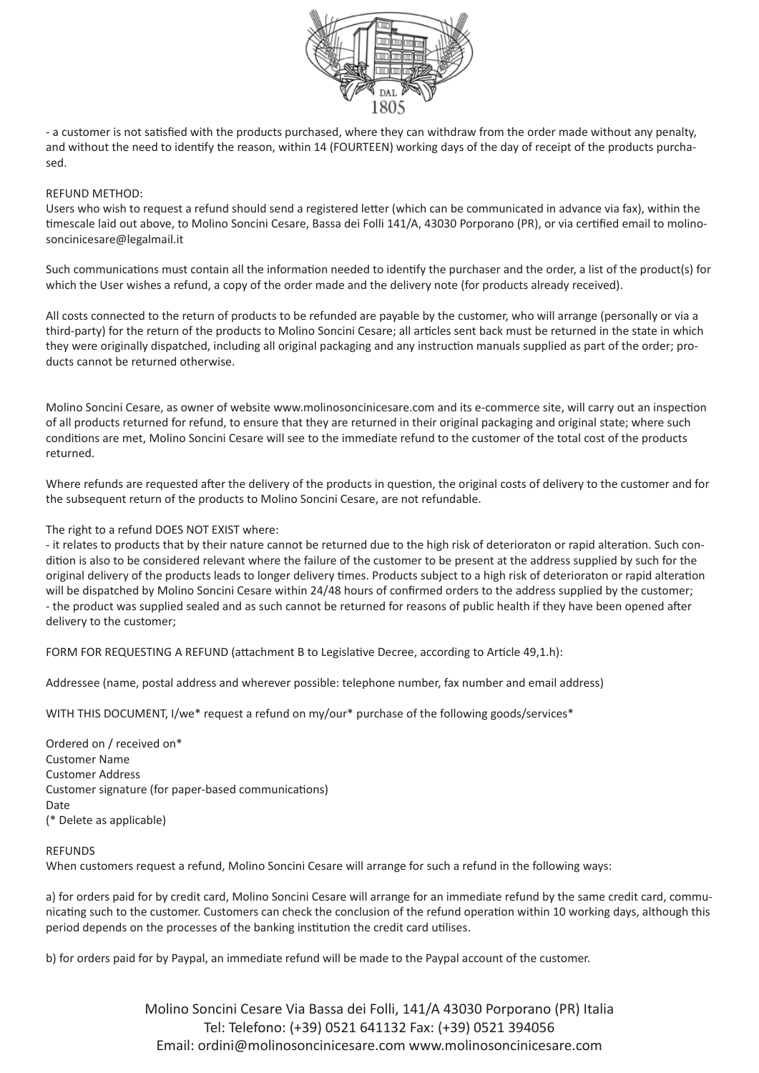

- a customer is not satisfied with the products purchased, where they can withdraw from the order made without any penalty, and without the need to identify the reason, within 14 (FOURTEEN) working days of the day of receipt of the products purchased.

## REFUND METHOD:

Users who wish to request a refund should send a registered letter (which can be communicated in advance via fax), within the timescale laid out above, to Molino Soncini Cesare, Bassa dei Folli 141/A, 43030 Porporano (PR), or via certified email to molinosoncinicesare@legalmail.it

Such communications must contain all the information needed to identify the purchaser and the order, a list of the product(s) for which the User wishes a refund, a copy of the order made and the delivery note (for products already received).

All costs connected to the return of products to be refunded are payable by the customer, who will arrange (personally or via a third-party) for the return of the products to Molino Soncini Cesare; all articles sent back must be returned in the state in which they were originally dispatched, including all original packaging and any instruction manuals supplied as part of the order; products cannot be returned otherwise.

Molino Soncini Cesare, as owner of website www.molinosoncinicesare.com and its e-commerce site, will carry out an inspection of all products returned for refund, to ensure that they are returned in their original packaging and original state; where such conditions are met, Molino Soncini Cesare will see to the immediate refund to the customer of the total cost of the products returned.

Where refunds are requested after the delivery of the products in question, the original costs of delivery to the customer and for the subsequent return of the products to Molino Soncini Cesare, are not refundable.

#### The right to a refund DOES NOT EXIST where:

- it relates to products that by their nature cannot be returned due to the high risk of deterioraton or rapid alteration. Such condition is also to be considered relevant where the failure of the customer to be present at the address supplied by such for the original delivery of the products leads to longer delivery times. Products subject to a high risk of deterioraton or rapid alteration will be dispatched by Molino Soncini Cesare within 24/48 hours of confirmed orders to the address supplied by the customer; - the product was supplied sealed and as such cannot be returned for reasons of public health if they have been opened after delivery to the customer;

FORM FOR REQUESTING A REFUND (attachment B to Legislative Decree, according to Article 49,1.h):

Addressee (name, postal address and wherever possible: telephone number, fax number and email address)

WITH THIS DOCUMENT, I/we\* request a refund on my/our\* purchase of the following goods/services\*

Ordered on / received on\* Customer Name Customer Address Customer signature (for paper-based communications) Date (\* Delete as applicable)

#### **REFUNDS**

When customers request a refund, Molino Soncini Cesare will arrange for such a refund in the following ways:

a) for orders paid for by credit card, Molino Soncini Cesare will arrange for an immediate refund by the same credit card, communicating such to the customer. Customers can check the conclusion of the refund operation within 10 working days, although this period depends on the processes of the banking institution the credit card utilises.

b) for orders paid for by Paypal, an immediate refund will be made to the Paypal account of the customer.

Molino Soncini Cesare Via Bassa dei Folli, 141/A 43030 Porporano (PR) Italia Tel: Telefono: (+39) 0521 641132 Fax: (+39) 0521 394056 Email: ordini@molinosoncinicesare.com www.molinosoncinicesare.com